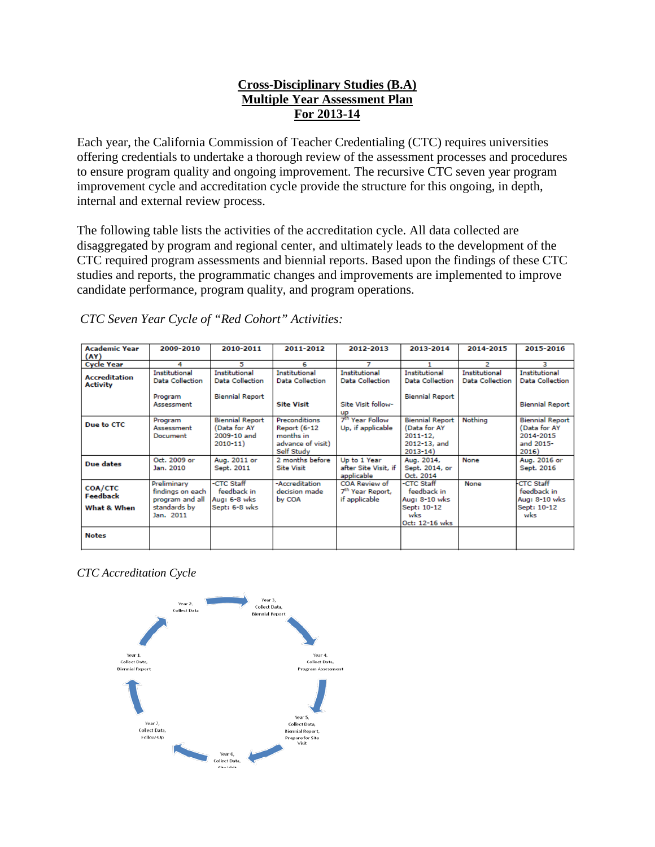# **Cross-Disciplinary Studies (B.A) Multiple Year Assessment Plan For 2013-14**

Each year, the California Commission of Teacher Credentialing (CTC) requires universities offering credentials to undertake a thorough review of the assessment processes and procedures to ensure program quality and ongoing improvement. The recursive CTC seven year program improvement cycle and accreditation cycle provide the structure for this ongoing, in depth, internal and external review process.

The following table lists the activities of the accreditation cycle. All data collected are disaggregated by program and regional center, and ultimately leads to the development of the CTC required program assessments and biennial reports. Based upon the findings of these CTC studies and reports, the programmatic changes and improvements are implemented to improve candidate performance, program quality, and program operations.

| <b>Academic Year</b><br>(AY)            | 2009-2010                                                                       | 2010-2011                                                                | 2011-2012                                                                                   | 2012-2013                                                                         | 2013-2014                                                                             | 2014-2015                                      | 2015-2016                                                                 |
|-----------------------------------------|---------------------------------------------------------------------------------|--------------------------------------------------------------------------|---------------------------------------------------------------------------------------------|-----------------------------------------------------------------------------------|---------------------------------------------------------------------------------------|------------------------------------------------|---------------------------------------------------------------------------|
| <b>Cycle Year</b>                       | 4                                                                               | 5                                                                        | 6                                                                                           | 7                                                                                 |                                                                                       | 2                                              | з                                                                         |
| <b>Accreditation</b><br><b>Activity</b> | <b>Institutional</b><br><b>Data Collection</b><br>Program<br>Assessment         | <b>Institutional</b><br><b>Data Collection</b><br><b>Biennial Report</b> | <b>Institutional</b><br><b>Data Collection</b><br><b>Site Visit</b>                         | <b>Institutional</b><br><b>Data Collection</b><br>Site Visit follow-<br><b>UP</b> | <b>Institutional</b><br><b>Data Collection</b><br><b>Biennial Report</b>              | <b>Institutional</b><br><b>Data Collection</b> | <b>Institutional</b><br><b>Data Collection</b><br><b>Biennial Report</b>  |
| Due to CTC                              | Program<br>Assessment<br>Document                                               | <b>Biennial Report</b><br>(Data for AY<br>2009-10 and<br>$2010 - 11$     | <b>Preconditions</b><br><b>Report (6-12</b><br>months in<br>advance of visit)<br>Self Study | 7 <sup>th</sup> Year Follow<br>Up, if applicable                                  | <b>Biennial Report</b><br>(Data for AY<br>$2011 - 12.$<br>2012-13, and<br>$2013 - 14$ | Nothing                                        | <b>Biennial Report</b><br>(Data for AY<br>2014-2015<br>and 2015-<br>2016) |
| Due dates                               | Oct. 2009 or<br>Jan. 2010                                                       | Aug. 2011 or<br>Sept. 2011                                               | 2 months before<br><b>Site Visit</b>                                                        | Up to 1 Year<br>after Site Visit, if<br>applicable                                | Aug. 2014,<br>Sept. 2014, or<br>Oct. 2014                                             | None                                           | Aug. 2016 or<br>Sept. 2016                                                |
| COA/CTC<br>Feedback<br>What & When      | Preliminary<br>findings on each<br>program and all<br>standards by<br>Jan. 2011 | <b>CTC Staff</b><br>feedback in<br>Aug: 6-8 wks<br>Sept: 6-8 wks         | -Accreditation<br>decision made<br>by COA                                                   | COA Review of<br>7 <sup>th</sup> Year Report,<br>if applicable                    | -CTC Staff<br>feedback in<br>Aug: 8-10 wks<br>Sept: 10-12<br>wks<br>Oct: 12-16 wks    | None                                           | <b>CTC Staff</b><br>feedback in<br>Aug: 8-10 wks<br>Sept: 10-12<br>wks    |
| <b>Notes</b>                            |                                                                                 |                                                                          |                                                                                             |                                                                                   |                                                                                       |                                                |                                                                           |

*CTC Seven Year Cycle of "Red Cohort" Activities:*

*CTC Accreditation Cycle*

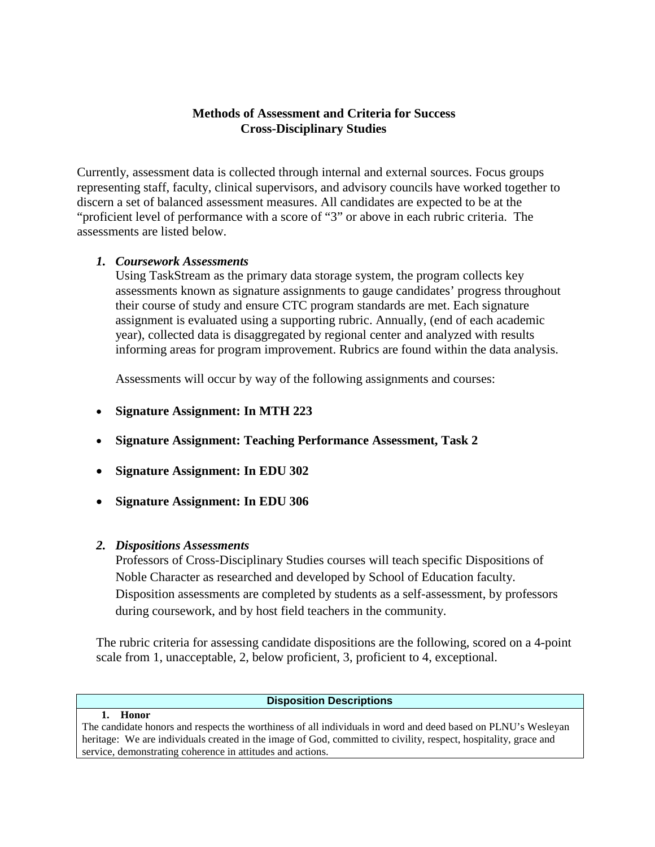## **Methods of Assessment and Criteria for Success Cross-Disciplinary Studies**

Currently, assessment data is collected through internal and external sources. Focus groups representing staff, faculty, clinical supervisors, and advisory councils have worked together to discern a set of balanced assessment measures. All candidates are expected to be at the "proficient level of performance with a score of "3" or above in each rubric criteria. The assessments are listed below.

# *1. Coursework Assessments*

Using TaskStream as the primary data storage system, the program collects key assessments known as signature assignments to gauge candidates' progress throughout their course of study and ensure CTC program standards are met. Each signature assignment is evaluated using a supporting rubric. Annually, (end of each academic year), collected data is disaggregated by regional center and analyzed with results informing areas for program improvement. Rubrics are found within the data analysis.

Assessments will occur by way of the following assignments and courses:

- **Signature Assignment: In MTH 223**
- **Signature Assignment: Teaching Performance Assessment, Task 2**
- **Signature Assignment: In EDU 302**
- **Signature Assignment: In EDU 306**

# *2. Dispositions Assessments*

**1. Honor**

Professors of Cross-Disciplinary Studies courses will teach specific Dispositions of Noble Character as researched and developed by School of Education faculty. Disposition assessments are completed by students as a self-assessment, by professors during coursework, and by host field teachers in the community.

The rubric criteria for assessing candidate dispositions are the following, scored on a 4-point scale from 1, unacceptable, 2, below proficient, 3, proficient to 4, exceptional.

## **Disposition Descriptions**

The candidate honors and respects the worthiness of all individuals in word and deed based on PLNU's Wesleyan heritage: We are individuals created in the image of God, committed to civility, respect, hospitality, grace and service, demonstrating coherence in attitudes and actions.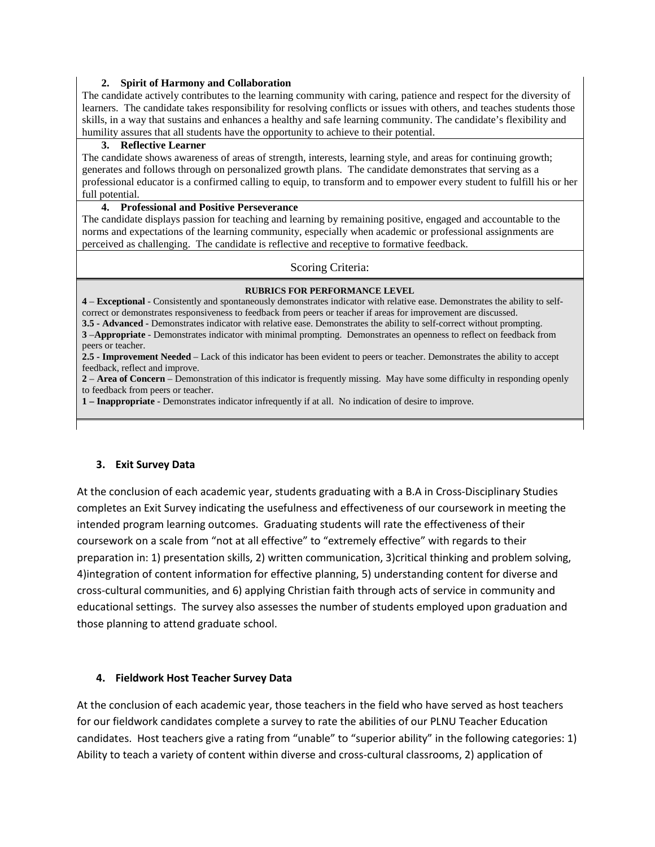#### **2. Spirit of Harmony and Collaboration**

The candidate actively contributes to the learning community with caring, patience and respect for the diversity of learners. The candidate takes responsibility for resolving conflicts or issues with others, and teaches students those skills, in a way that sustains and enhances a healthy and safe learning community. The candidate's flexibility and humility assures that all students have the opportunity to achieve to their potential.

#### **3. Reflective Learner**

The candidate shows awareness of areas of strength, interests, learning style, and areas for continuing growth; generates and follows through on personalized growth plans. The candidate demonstrates that serving as a professional educator is a confirmed calling to equip, to transform and to empower every student to fulfill his or her full potential.

### **4. Professional and Positive Perseverance**

The candidate displays passion for teaching and learning by remaining positive, engaged and accountable to the norms and expectations of the learning community, especially when academic or professional assignments are perceived as challenging. The candidate is reflective and receptive to formative feedback.

### Scoring Criteria:

#### **RUBRICS FOR PERFORMANCE LEVEL**

**4** – **Exceptional** - Consistently and spontaneously demonstrates indicator with relative ease. Demonstrates the ability to selfcorrect or demonstrates responsiveness to feedback from peers or teacher if areas for improvement are discussed.

**3.5 - Advanced -** Demonstrates indicator with relative ease. Demonstrates the ability to self-correct without prompting. **3** –**Appropriate** - Demonstrates indicator with minimal prompting. Demonstrates an openness to reflect on feedback from peers or teacher.

**2.5 - Improvement Needed** – Lack of this indicator has been evident to peers or teacher. Demonstrates the ability to accept feedback, reflect and improve.

**2** – **Area of Concern** – Demonstration of this indicator is frequently missing. May have some difficulty in responding openly to feedback from peers or teacher.

**1 – Inappropriate** - Demonstrates indicator infrequently if at all. No indication of desire to improve.

### **3. Exit Survey Data**

At the conclusion of each academic year, students graduating with a B.A in Cross-Disciplinary Studies completes an Exit Survey indicating the usefulness and effectiveness of our coursework in meeting the intended program learning outcomes. Graduating students will rate the effectiveness of their coursework on a scale from "not at all effective" to "extremely effective" with regards to their preparation in: 1) presentation skills, 2) written communication, 3)critical thinking and problem solving, 4)integration of content information for effective planning, 5) understanding content for diverse and cross-cultural communities, and 6) applying Christian faith through acts of service in community and educational settings. The survey also assesses the number of students employed upon graduation and those planning to attend graduate school.

### **4. Fieldwork Host Teacher Survey Data**

At the conclusion of each academic year, those teachers in the field who have served as host teachers for our fieldwork candidates complete a survey to rate the abilities of our PLNU Teacher Education candidates. Host teachers give a rating from "unable" to "superior ability" in the following categories: 1) Ability to teach a variety of content within diverse and cross-cultural classrooms, 2) application of